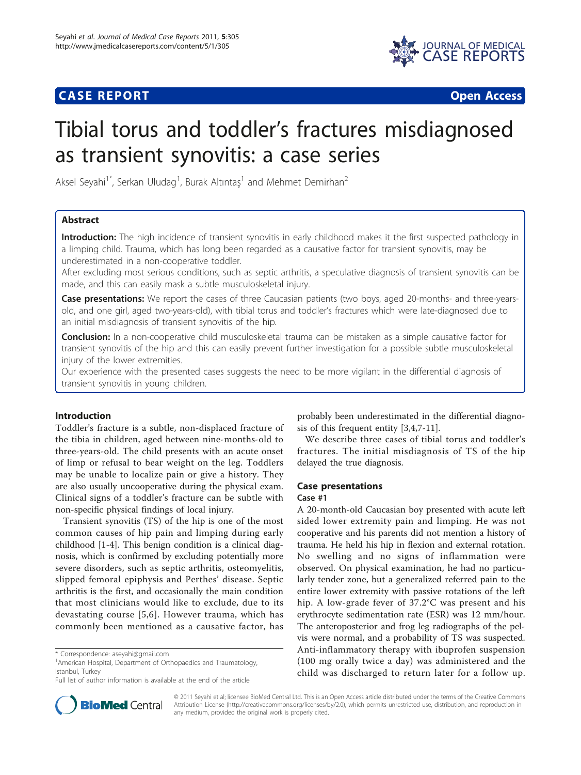# **CASE REPORT CASE ACCESS**



# Tibial torus and toddler's fractures misdiagnosed as transient synovitis: a case series

Aksel Seyahi<sup>1\*</sup>, Serkan Uludag<sup>1</sup>, Burak Altıntaş<sup>1</sup> and Mehmet Demirhan<sup>2</sup>

# Abstract

Introduction: The high incidence of transient synovitis in early childhood makes it the first suspected pathology in a limping child. Trauma, which has long been regarded as a causative factor for transient synovitis, may be underestimated in a non-cooperative toddler.

After excluding most serious conditions, such as septic arthritis, a speculative diagnosis of transient synovitis can be made, and this can easily mask a subtle musculoskeletal injury.

Case presentations: We report the cases of three Caucasian patients (two boys, aged 20-months- and three-yearsold, and one girl, aged two-years-old), with tibial torus and toddler's fractures which were late-diagnosed due to an initial misdiagnosis of transient synovitis of the hip.

**Conclusion:** In a non-cooperative child musculoskeletal trauma can be mistaken as a simple causative factor for transient synovitis of the hip and this can easily prevent further investigation for a possible subtle musculoskeletal injury of the lower extremities.

Our experience with the presented cases suggests the need to be more vigilant in the differential diagnosis of transient synovitis in young children.

# Introduction

Toddler's fracture is a subtle, non-displaced fracture of the tibia in children, aged between nine-months-old to three-years-old. The child presents with an acute onset of limp or refusal to bear weight on the leg. Toddlers may be unable to localize pain or give a history. They are also usually uncooperative during the physical exam. Clinical signs of a toddler's fracture can be subtle with non-specific physical findings of local injury.

Transient synovitis (TS) of the hip is one of the most common causes of hip pain and limping during early childhood [[1-4](#page-3-0)]. This benign condition is a clinical diagnosis, which is confirmed by excluding potentially more severe disorders, such as septic arthritis, osteomyelitis, slipped femoral epiphysis and Perthes' disease. Septic arthritis is the first, and occasionally the main condition that most clinicians would like to exclude, due to its devastating course [[5](#page-3-0),[6\]](#page-3-0). However trauma, which has commonly been mentioned as a causative factor, has

probably been underestimated in the differential diagnosis of this frequent entity [\[3,4,7](#page-3-0)-[11](#page-3-0)].

We describe three cases of tibial torus and toddler's fractures. The initial misdiagnosis of TS of the hip delayed the true diagnosis.

#### Case presentations

### Case #1

A 20-month-old Caucasian boy presented with acute left sided lower extremity pain and limping. He was not cooperative and his parents did not mention a history of trauma. He held his hip in flexion and external rotation. No swelling and no signs of inflammation were observed. On physical examination, he had no particularly tender zone, but a generalized referred pain to the entire lower extremity with passive rotations of the left hip. A low-grade fever of 37.2°C was present and his erythrocyte sedimentation rate (ESR) was 12 mm/hour. The anteroposterior and frog leg radiographs of the pelvis were normal, and a probability of TS was suspected. Anti-inflammatory therapy with ibuprofen suspension (100 mg orally twice a day) was administered and the child was discharged to return later for a follow up.



© 2011 Seyahi et al; licensee BioMed Central Ltd. This is an Open Access article distributed under the terms of the Creative Commons Attribution License [\(http://creativecommons.org/licenses/by/2.0](http://creativecommons.org/licenses/by/2.0)), which permits unrestricted use, distribution, and reproduction in any medium, provided the original work is properly cited.

<sup>\*</sup> Correspondence: [aseyahi@gmail.com](mailto:aseyahi@gmail.com)

<sup>1</sup> American Hospital, Department of Orthopaedics and Traumatology, Istanbul, Turkey

Full list of author information is available at the end of the article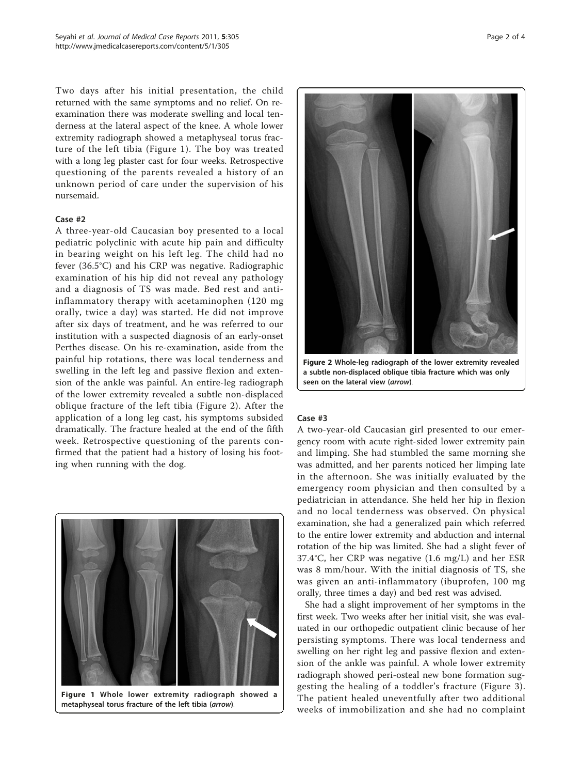Two days after his initial presentation, the child returned with the same symptoms and no relief. On reexamination there was moderate swelling and local tenderness at the lateral aspect of the knee. A whole lower extremity radiograph showed a metaphyseal torus fracture of the left tibia (Figure 1). The boy was treated with a long leg plaster cast for four weeks. Retrospective questioning of the parents revealed a history of an unknown period of care under the supervision of his nursemaid.

### Case #2

A three-year-old Caucasian boy presented to a local pediatric polyclinic with acute hip pain and difficulty in bearing weight on his left leg. The child had no fever (36.5°C) and his CRP was negative. Radiographic examination of his hip did not reveal any pathology and a diagnosis of TS was made. Bed rest and antiinflammatory therapy with acetaminophen (120 mg orally, twice a day) was started. He did not improve after six days of treatment, and he was referred to our institution with a suspected diagnosis of an early-onset Perthes disease. On his re-examination, aside from the painful hip rotations, there was local tenderness and swelling in the left leg and passive flexion and extension of the ankle was painful. An entire-leg radiograph of the lower extremity revealed a subtle non-displaced oblique fracture of the left tibia (Figure 2). After the application of a long leg cast, his symptoms subsided dramatically. The fracture healed at the end of the fifth week. Retrospective questioning of the parents confirmed that the patient had a history of losing his footing when running with the dog.



Figure 1 Whole lower extremity radiograph showed a metaphyseal torus fracture of the left tibia (arrow).



Figure 2 Whole-leg radiograph of the lower extremity revealed a subtle non-displaced oblique tibia fracture which was only seen on the lateral view (arrow).

### Case #3

A two-year-old Caucasian girl presented to our emergency room with acute right-sided lower extremity pain and limping. She had stumbled the same morning she was admitted, and her parents noticed her limping late in the afternoon. She was initially evaluated by the emergency room physician and then consulted by a pediatrician in attendance. She held her hip in flexion and no local tenderness was observed. On physical examination, she had a generalized pain which referred to the entire lower extremity and abduction and internal rotation of the hip was limited. She had a slight fever of 37.4°C, her CRP was negative (1.6 mg/L) and her ESR was 8 mm/hour. With the initial diagnosis of TS, she was given an anti-inflammatory (ibuprofen, 100 mg orally, three times a day) and bed rest was advised.

She had a slight improvement of her symptoms in the first week. Two weeks after her initial visit, she was evaluated in our orthopedic outpatient clinic because of her persisting symptoms. There was local tenderness and swelling on her right leg and passive flexion and extension of the ankle was painful. A whole lower extremity radiograph showed peri-osteal new bone formation suggesting the healing of a toddler's fracture (Figure [3\)](#page-2-0). The patient healed uneventfully after two additional weeks of immobilization and she had no complaint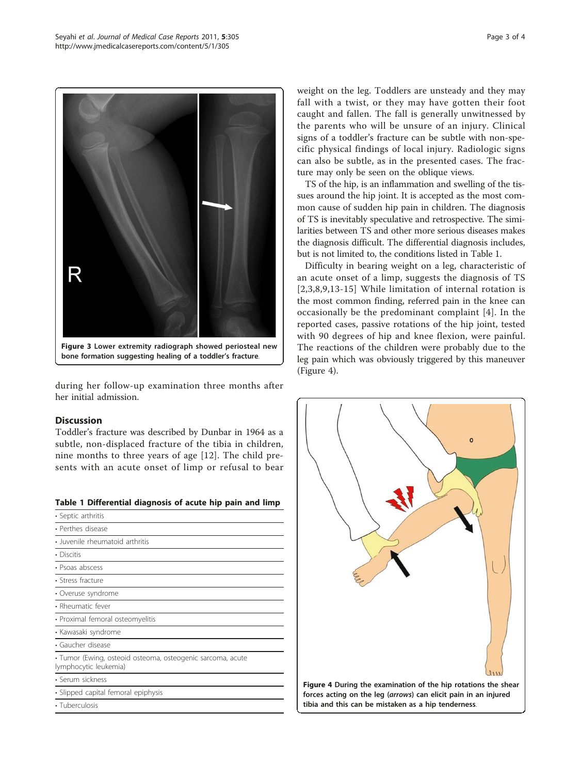<span id="page-2-0"></span>

during her follow-up examination three months after her initial admission.

# **Discussion**

Toddler's fracture was described by Dunbar in 1964 as a subtle, non-displaced fracture of the tibia in children, nine months to three years of age [\[12](#page-3-0)]. The child presents with an acute onset of limp or refusal to bear

|  | Table 1 Differential diagnosis of acute hip pain and limp |  |  |  |  |
|--|-----------------------------------------------------------|--|--|--|--|
|  |                                                           |  |  |  |  |

| • Septic arthritis                                                                  |
|-------------------------------------------------------------------------------------|
| • Perthes disease                                                                   |
| • Juvenile rheumatoid arthritis                                                     |
| • Discitis                                                                          |
| • Psoas abscess                                                                     |
| • Stress fracture                                                                   |
| • Overuse syndrome                                                                  |
| • Rheumatic fever                                                                   |
| • Proximal femoral osteomyelitis                                                    |
| • Kawasaki syndrome                                                                 |
| • Gaucher disease                                                                   |
| • Tumor (Ewing, osteoid osteoma, osteogenic sarcoma, acute<br>lymphocytic leukemia) |
| · Serum sickness                                                                    |
| • Slipped capital femoral epiphysis                                                 |
| • Tuberculosis                                                                      |
|                                                                                     |

weight on the leg. Toddlers are unsteady and they may fall with a twist, or they may have gotten their foot caught and fallen. The fall is generally unwitnessed by the parents who will be unsure of an injury. Clinical signs of a toddler's fracture can be subtle with non-specific physical findings of local injury. Radiologic signs can also be subtle, as in the presented cases. The fracture may only be seen on the oblique views.

TS of the hip, is an inflammation and swelling of the tissues around the hip joint. It is accepted as the most common cause of sudden hip pain in children. The diagnosis of TS is inevitably speculative and retrospective. The similarities between TS and other more serious diseases makes the diagnosis difficult. The differential diagnosis includes, but is not limited to, the conditions listed in Table 1.

Difficulty in bearing weight on a leg, characteristic of an acute onset of a limp, suggests the diagnosis of TS [[2](#page-3-0),[3,8](#page-3-0),[9,13-15\]](#page-3-0) While limitation of internal rotation is the most common finding, referred pain in the knee can occasionally be the predominant complaint [\[4](#page-3-0)]. In the reported cases, passive rotations of the hip joint, tested with 90 degrees of hip and knee flexion, were painful. The reactions of the children were probably due to the leg pain which was obviously triggered by this maneuver (Figure 4).